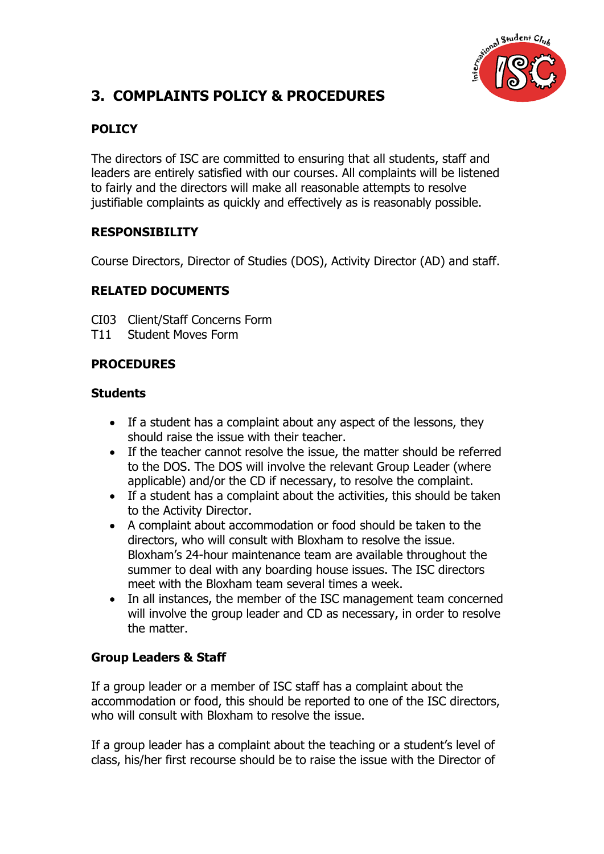

# **3. COMPLAINTS POLICY & PROCEDURES**

## **POLICY**

The directors of ISC are committed to ensuring that all students, staff and leaders are entirely satisfied with our courses. All complaints will be listened to fairly and the directors will make all reasonable attempts to resolve justifiable complaints as quickly and effectively as is reasonably possible.

### **RESPONSIBILITY**

Course Directors, Director of Studies (DOS), Activity Director (AD) and staff.

### **RELATED DOCUMENTS**

CI03 Client/Staff Concerns Form

T11 Student Moves Form

### **PROCEDURES**

#### **Students**

- If a student has a complaint about any aspect of the lessons, they should raise the issue with their teacher.
- If the teacher cannot resolve the issue, the matter should be referred to the DOS. The DOS will involve the relevant Group Leader (where applicable) and/or the CD if necessary, to resolve the complaint.
- If a student has a complaint about the activities, this should be taken to the Activity Director.
- A complaint about accommodation or food should be taken to the directors, who will consult with Bloxham to resolve the issue. Bloxham's 24-hour maintenance team are available throughout the summer to deal with any boarding house issues. The ISC directors meet with the Bloxham team several times a week.
- In all instances, the member of the ISC management team concerned will involve the group leader and CD as necessary, in order to resolve the matter.

# **Group Leaders & Staff**

If a group leader or a member of ISC staff has a complaint about the accommodation or food, this should be reported to one of the ISC directors, who will consult with Bloxham to resolve the issue.

If a group leader has a complaint about the teaching or a student's level of class, his/her first recourse should be to raise the issue with the Director of